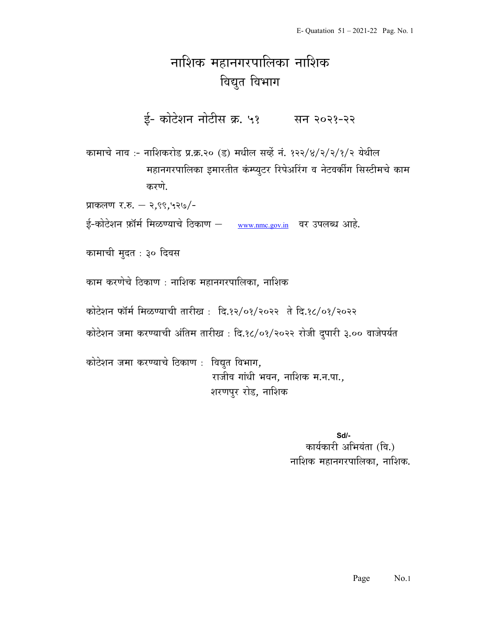## नाशिक महानगरपालिका नाशिक विद्युत विभाग

ई- कोटेशन नोटीस क्र. ५१ सन २०२१-२२

कामाचे नाव :- नाशिकरोड प्र.क्र.२० (ड) मधील सर्व्हे नं. १२२/४/२/२/१/२ येथील महानगरपालिका इमारतीत कंम्प्युटर रिपेअरिंग व नेटवर्कीग सिस्टीमचे काम करणे.

प्राकलण र.रु. – २,९९,५२७/-

ई-कोटेशन फ़ॉर्म मिळण्याचे ठिकाण – www.nmc.gov.in वर उपलब्ध आहे.

कामाची मुदत : ३० दिवस

काम करणेचे ठिकाण : नाशिक महानगरपालिका. नाशिक

कोटेशन फॉर्म मिळण्याची तारीख: दि.१२/०१/२०२२ ते दि.१८/०१/२०२२

कोटेशन जमा करण्याची अंतिम तारीख : दि.१८/०१/२०२२ रोजी दुपारी ३.०० वाजेपर्यत

कोटेशन जमा करण्याचे ठिकाण : विद्युत विभाग, राजीव गांधी भवन, नाशिक म.न.पा., शरणपुर रोड, नाशिक

> Sd/- कार्यकारी अभियंता (वि.) नाशिक महानगरपालिका, नाशिक.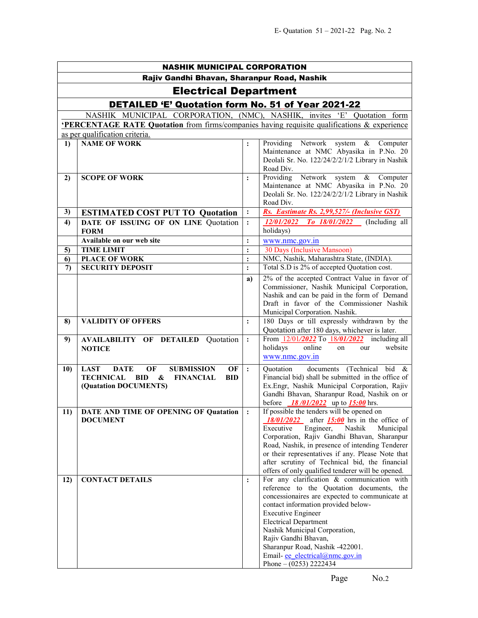| <b>NASHIK MUNICIPAL CORPORATION</b> |                                                                                                    |                |                                                                                                                                                                                                                                                                                                                                                                                                             |  |  |  |  |
|-------------------------------------|----------------------------------------------------------------------------------------------------|----------------|-------------------------------------------------------------------------------------------------------------------------------------------------------------------------------------------------------------------------------------------------------------------------------------------------------------------------------------------------------------------------------------------------------------|--|--|--|--|
|                                     | Rajiv Gandhi Bhavan, Sharanpur Road, Nashik                                                        |                |                                                                                                                                                                                                                                                                                                                                                                                                             |  |  |  |  |
|                                     | <b>Electrical Department</b>                                                                       |                |                                                                                                                                                                                                                                                                                                                                                                                                             |  |  |  |  |
|                                     | DETAILED 'E' Quotation form No. 51 of Year 2021-22                                                 |                |                                                                                                                                                                                                                                                                                                                                                                                                             |  |  |  |  |
|                                     | NASHIK MUNICIPAL CORPORATION, (NMC), NASHIK, invites 'E' Quotation form                            |                |                                                                                                                                                                                                                                                                                                                                                                                                             |  |  |  |  |
|                                     | <b>PERCENTAGE RATE Quotation</b> from firms/companies having requisite qualifications & experience |                |                                                                                                                                                                                                                                                                                                                                                                                                             |  |  |  |  |
|                                     | as per qualification criteria.                                                                     |                |                                                                                                                                                                                                                                                                                                                                                                                                             |  |  |  |  |
| 1)                                  | <b>NAME OF WORK</b>                                                                                | $\ddot{\cdot}$ | Providing Network system &<br>Computer<br>Maintenance at NMC Abyasika in P.No. 20<br>Deolali Sr. No. 122/24/2/2/1/2 Library in Nashik<br>Road Div.                                                                                                                                                                                                                                                          |  |  |  |  |
| 2)                                  | <b>SCOPE OF WORK</b>                                                                               | $\ddot{\cdot}$ | Providing Network system & Computer<br>Maintenance at NMC Abyasika in P.No. 20<br>Deolali Sr. No. 122/24/2/2/1/2 Library in Nashik<br>Road Div.                                                                                                                                                                                                                                                             |  |  |  |  |
| 3)                                  | <b>ESTIMATED COST PUT TO Quotation</b>                                                             | :              | Rs. Eastimate Rs. 2,99,527/- (Inclusive GST)                                                                                                                                                                                                                                                                                                                                                                |  |  |  |  |
| 4)                                  | DATE OF ISSUING OF ON LINE Quotation                                                               | $\ddot{\cdot}$ | <i>12/01/2022</i><br>To 18/01/2022<br>(Including all                                                                                                                                                                                                                                                                                                                                                        |  |  |  |  |
|                                     | <b>FORM</b>                                                                                        |                | holidays)                                                                                                                                                                                                                                                                                                                                                                                                   |  |  |  |  |
|                                     | Available on our web site                                                                          | $\ddot{\cdot}$ | www.nmc.gov.in                                                                                                                                                                                                                                                                                                                                                                                              |  |  |  |  |
| 5)                                  | <b>TIME LIMIT</b>                                                                                  |                | 30 Days (Inclusive Mansoon)                                                                                                                                                                                                                                                                                                                                                                                 |  |  |  |  |
| 6)                                  | <b>PLACE OF WORK</b>                                                                               | $\vdots$       | NMC, Nashik, Maharashtra State, (INDIA).                                                                                                                                                                                                                                                                                                                                                                    |  |  |  |  |
| 7)                                  | <b>SECURITY DEPOSIT</b>                                                                            | $\ddot{\cdot}$ | Total S.D is 2% of accepted Quotation cost.                                                                                                                                                                                                                                                                                                                                                                 |  |  |  |  |
|                                     |                                                                                                    | a)             | 2% of the accepted Contract Value in favor of<br>Commissioner, Nashik Municipal Corporation,<br>Nashik and can be paid in the form of Demand<br>Draft in favor of the Commissioner Nashik<br>Municipal Corporation. Nashik.                                                                                                                                                                                 |  |  |  |  |
| 8)                                  | <b>VALIDITY OF OFFERS</b>                                                                          | $\ddot{\cdot}$ | 180 Days or till expressly withdrawn by the                                                                                                                                                                                                                                                                                                                                                                 |  |  |  |  |
| 9)                                  | <b>AVAILABILITY OF DETAILED Quotation</b><br><b>NOTICE</b>                                         | $\ddot{\cdot}$ | Quotation after 180 days, whichever is later.<br>From 12/01/2022 To 18/01/2022 including all<br>holidays<br>online<br>website<br>our<br>on<br>www.nmc.gov.in                                                                                                                                                                                                                                                |  |  |  |  |
| 10)                                 | <b>DATE</b><br>OF<br><b>SUBMISSION</b><br><b>LAST</b><br>OF                                        | $\cdot$ :      | documents (Technical bid &<br>Quotation                                                                                                                                                                                                                                                                                                                                                                     |  |  |  |  |
|                                     | <b>TECHNICAL</b><br><b>BID</b><br>&<br><b>FINANCIAL</b><br><b>BID</b><br>(Quatation DOCUMENTS)     |                | Financial bid) shall be submitted in the office of<br>Ex.Engr, Nashik Municipal Corporation, Rajiv<br>Gandhi Bhavan, Sharanpur Road, Nashik on or<br>before $18/01/2022$ up to $15:00$ hrs.                                                                                                                                                                                                                 |  |  |  |  |
| 11)                                 | DATE AND TIME OF OPENING OF Quatation<br><b>DOCUMENT</b>                                           |                | If possible the tenders will be opened on<br>$18/01/2022$ after $15:00$ hrs in the office of<br>Nashik<br>Engineer,<br>Municipal<br>Executive<br>Corporation, Rajiv Gandhi Bhavan, Sharanpur<br>Road, Nashik, in presence of intending Tenderer<br>or their representatives if any. Please Note that<br>after scrutiny of Technical bid, the financial<br>offers of only qualified tenderer will be opened. |  |  |  |  |
| 12)                                 | <b>CONTACT DETAILS</b>                                                                             | $\ddot{\cdot}$ | For any clarification & communication with<br>reference to the Quotation documents, the<br>concessionaires are expected to communicate at<br>contact information provided below-<br><b>Executive Engineer</b><br><b>Electrical Department</b><br>Nashik Municipal Corporation,<br>Rajiv Gandhi Bhavan,<br>Sharanpur Road, Nashik -422001.<br>Email-ee electrical@nmc.gov.in<br>Phone $- (0253)$ 2222434     |  |  |  |  |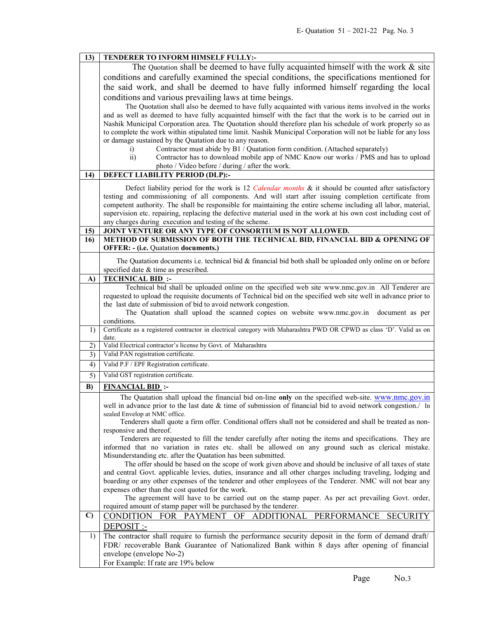|              | TENDERER TO INFORM HIMSELF FULLY:-                                                                                                               |  |  |  |  |
|--------------|--------------------------------------------------------------------------------------------------------------------------------------------------|--|--|--|--|
|              | The Quotation shall be deemed to have fully acquainted himself with the work $\&$ site                                                           |  |  |  |  |
|              | conditions and carefully examined the special conditions, the specifications mentioned for                                                       |  |  |  |  |
|              | the said work, and shall be deemed to have fully informed himself regarding the local                                                            |  |  |  |  |
|              | conditions and various prevailing laws at time beings.                                                                                           |  |  |  |  |
|              | The Quotation shall also be deemed to have fully acquainted with various items involved in the works                                             |  |  |  |  |
|              | and as well as deemed to have fully acquainted himself with the fact that the work is to be carried out in                                       |  |  |  |  |
|              | Nashik Municipal Corporation area. The Quotation should therefore plan his schedule of work properly so as                                       |  |  |  |  |
|              | to complete the work within stipulated time limit. Nashik Municipal Corporation will not be liable for any loss                                  |  |  |  |  |
|              | or damage sustained by the Quatation due to any reason.                                                                                          |  |  |  |  |
|              | Contractor must abide by B1 / Quatation form condition. (Attached separately)<br>i)                                                              |  |  |  |  |
|              | $\overline{ii}$ )<br>Contractor has to download mobile app of NMC Know our works / PMS and has to upload                                         |  |  |  |  |
|              | photo / Video before / during / after the work.                                                                                                  |  |  |  |  |
| 14)          | DEFECT LIABILITY PERIOD (DLP):-                                                                                                                  |  |  |  |  |
|              | Defect liability period for the work is 12 Calendar months & it should be counted after satisfactory                                             |  |  |  |  |
|              | testing and commissioning of all components. And will start after issuing completion certificate from                                            |  |  |  |  |
|              | competent authority. The shall be responsible for maintaining the entire scheme including all labor, material,                                   |  |  |  |  |
|              | supervision etc. repairing, replacing the defective material used in the work at his own cost including cost of                                  |  |  |  |  |
| 15)          | any charges during execution and testing of the scheme.<br>JOINT VENTURE OR ANY TYPE OF CONSORTIUM IS NOT ALLOWED.                               |  |  |  |  |
| 16)          | METHOD OF SUBMISSION OF BOTH THE TECHNICAL BID, FINANCIAL BID & OPENING OF                                                                       |  |  |  |  |
|              | <b>OFFER: - (i.e. Quatation documents.)</b>                                                                                                      |  |  |  |  |
|              | The Quatation documents i.e. technical bid $\&$ financial bid both shall be uploaded only online on or before                                    |  |  |  |  |
|              | specified date & time as prescribed.                                                                                                             |  |  |  |  |
| A)           | <b>TECHNICAL BID:</b>                                                                                                                            |  |  |  |  |
|              | Technical bid shall be uploaded online on the specified web site www.nmc.gov.in All Tenderer are                                                 |  |  |  |  |
|              | requested to upload the requisite documents of Technical bid on the specified web site well in advance prior to                                  |  |  |  |  |
|              | the last date of submission of bid to avoid network congestion.                                                                                  |  |  |  |  |
|              | The Quatation shall upload the scanned copies on website www.nmc.gov.in document as per                                                          |  |  |  |  |
| 1)           | conditions.<br>Certificate as a registered contractor in electrical category with Maharashtra PWD OR CPWD as class 'D'. Valid as on              |  |  |  |  |
|              |                                                                                                                                                  |  |  |  |  |
|              | date.                                                                                                                                            |  |  |  |  |
| 2)           | Valid Electrical contractor's license by Govt. of Maharashtra                                                                                    |  |  |  |  |
| 3)           | Valid PAN registration certificate.                                                                                                              |  |  |  |  |
| 4)           | Valid P.F / EPF Registration certificate.                                                                                                        |  |  |  |  |
| 5)           | Valid GST registration certificate.                                                                                                              |  |  |  |  |
| B)           | <b>FINANCIAL BID:</b>                                                                                                                            |  |  |  |  |
|              | The Quatation shall upload the financial bid on-line only on the specified web-site. www.nmc.gov.in                                              |  |  |  |  |
|              | well in advance prior to the last date & time of submission of financial bid to avoid network congestion./ In                                    |  |  |  |  |
|              | sealed Envelop at NMC office.                                                                                                                    |  |  |  |  |
|              | Tenderers shall quote a firm offer. Conditional offers shall not be considered and shall be treated as non-                                      |  |  |  |  |
|              | responsive and thereof.<br>Tenderers are requested to fill the tender carefully after noting the items and specifications. They are              |  |  |  |  |
|              | informed that no variation in rates etc. shall be allowed on any ground such as clerical mistake.                                                |  |  |  |  |
|              | Misunderstanding etc. after the Quatation has been submitted.                                                                                    |  |  |  |  |
|              | The offer should be based on the scope of work given above and should be inclusive of all taxes of state                                         |  |  |  |  |
|              | and central Govt. applicable levies, duties, insurance and all other charges including traveling, lodging and                                    |  |  |  |  |
|              | boarding or any other expenses of the tenderer and other employees of the Tenderer. NMC will not bear any                                        |  |  |  |  |
|              | expenses other than the cost quoted for the work.                                                                                                |  |  |  |  |
|              | The agreement will have to be carried out on the stamp paper. As per act prevailing Govt. order,                                                 |  |  |  |  |
| $\mathbf{C}$ | required amount of stamp paper will be purchased by the tenderer.<br>CONDITION FOR PAYMENT<br>PERFORMANCE<br>OF<br>ADDITIONAL<br><b>SECURITY</b> |  |  |  |  |
|              | DEPOSIT :-                                                                                                                                       |  |  |  |  |
| 1)           | The contractor shall require to furnish the performance security deposit in the form of demand draft/                                            |  |  |  |  |
|              | FDR/ recoverable Bank Guarantee of Nationalized Bank within 8 days after opening of financial                                                    |  |  |  |  |
|              | envelope (envelope No-2)<br>For Example: If rate are 19% below                                                                                   |  |  |  |  |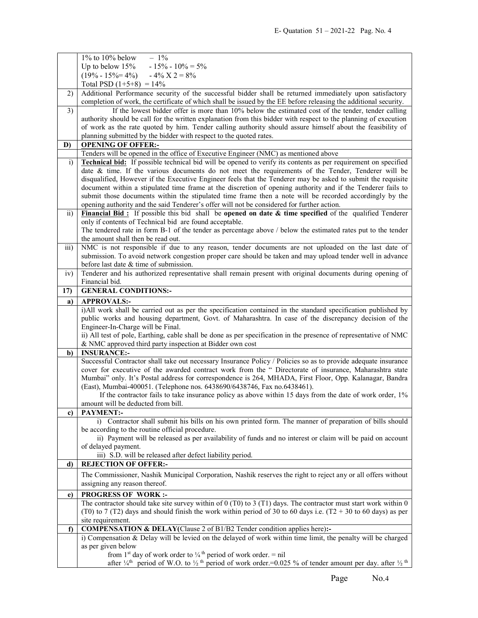|                 | $1\%$ to $10\%$ below<br>$-1\%$                                                                                             |
|-----------------|-----------------------------------------------------------------------------------------------------------------------------|
|                 | $-15\% - 10\% = 5\%$<br>Up to below $15%$                                                                                   |
|                 | $(19\% - 15\% = 4\%)$ $- 4\%$ X 2 = 8%                                                                                      |
|                 | Total PSD $(1+5+8) = 14\%$                                                                                                  |
| 2)              | Additional Performance security of the successful bidder shall be returned immediately upon satisfactory                    |
|                 | completion of work, the certificate of which shall be issued by the EE before releasing the additional security.            |
| 3)              | If the lowest bidder offer is more than 10% below the estimated cost of the tender, tender calling                          |
|                 | authority should be call for the written explanation from this bidder with respect to the planning of execution             |
|                 | of work as the rate quoted by him. Tender calling authority should assure himself about the feasibility of                  |
|                 | planning submitted by the bidder with respect to the quoted rates.                                                          |
| D)              | <b>OPENING OF OFFER:-</b>                                                                                                   |
|                 | Tenders will be opened in the office of Executive Engineer (NMC) as mentioned above                                         |
| i)              | <b>Technical bid:</b> If possible technical bid will be opened to verify its contents as per requirement on specified       |
|                 | date & time. If the various documents do not meet the requirements of the Tender, Tenderer will be                          |
|                 | disqualified, However if the Executive Engineer feels that the Tenderer may be asked to submit the requisite                |
|                 | document within a stipulated time frame at the discretion of opening authority and if the Tenderer fails to                 |
|                 | submit those documents within the stipulated time frame then a note will be recorded accordingly by the                     |
|                 | opening authority and the said Tenderer's offer will not be considered for further action.                                  |
| $\overline{11}$ | Financial Bid: If possible this bid shall be opened on date & time specified of the qualified Tenderer                      |
|                 | only if contents of Technical bid are found acceptable.                                                                     |
|                 | The tendered rate in form B-1 of the tender as percentage above / below the estimated rates put to the tender               |
|                 | the amount shall then be read out.                                                                                          |
| iii)            | NMC is not responsible if due to any reason, tender documents are not uploaded on the last date of                          |
|                 | submission. To avoid network congestion proper care should be taken and may upload tender well in advance                   |
|                 | before last date & time of submission.                                                                                      |
| iv)             | Tenderer and his authorized representative shall remain present with original documents during opening of                   |
|                 | Financial bid.                                                                                                              |
| 17)             | <b>GENERAL CONDITIONS:-</b>                                                                                                 |
| a)              | <b>APPROVALS:-</b>                                                                                                          |
|                 | i)All work shall be carried out as per the specification contained in the standard specification published by               |
|                 |                                                                                                                             |
|                 |                                                                                                                             |
|                 | public works and housing department, Govt. of Maharashtra. In case of the discrepancy decision of the                       |
|                 | Engineer-In-Charge will be Final.                                                                                           |
|                 | ii) All test of pole, Earthing, cable shall be done as per specification in the presence of representative of NMC           |
|                 | & NMC approved third party inspection at Bidder own cost                                                                    |
| b)              | <b>INSURANCE:-</b>                                                                                                          |
|                 | Successful Contractor shall take out necessary Insurance Policy / Policies so as to provide adequate insurance              |
|                 | cover for executive of the awarded contract work from the " Directorate of insurance, Maharashtra state                     |
|                 | Mumbai" only. It's Postal address for correspondence is 264, MHADA, First Floor, Opp. Kalanagar, Bandra                     |
|                 | (East), Mumbai-400051. (Telephone nos. 6438690/6438746, Fax no.6438461).                                                    |
|                 | If the contractor fails to take insurance policy as above within 15 days from the date of work order, 1%                    |
| c)              | amount will be deducted from bill.                                                                                          |
|                 | <b>PAYMENT:-</b><br>i) Contractor shall submit his bills on his own printed form. The manner of preparation of bills should |
|                 | be according to the routine official procedure.                                                                             |
|                 | ii) Payment will be released as per availability of funds and no interest or claim will be paid on account                  |
|                 | of delayed payment.                                                                                                         |
|                 | iii) S.D. will be released after defect liability period.                                                                   |
| d)              | <b>REJECTION OF OFFER:-</b>                                                                                                 |
|                 | The Commissioner, Nashik Municipal Corporation, Nashik reserves the right to reject any or all offers without               |
|                 | assigning any reason thereof.                                                                                               |
|                 |                                                                                                                             |
| e)              | <b>PROGRESS OF WORK:-</b>                                                                                                   |
|                 | The contractor should take site survey within of $0$ (T0) to 3 (T1) days. The contractor must start work within $0$         |
|                 | (T0) to 7 (T2) days and should finish the work within period of 30 to 60 days i.e. (T2 + 30 to 60 days) as per              |
| $\mathbf{f}$    | site requirement.                                                                                                           |
|                 | COMPENSATION & DELAY(Clause 2 of B1/B2 Tender condition applies here):-                                                     |
|                 | i) Compensation & Delay will be levied on the delayed of work within time limit, the penalty will be charged                |
|                 | as per given below<br>from 1 <sup>st</sup> day of work order to $\frac{1}{4}$ <sup>th</sup> period of work order. = nil     |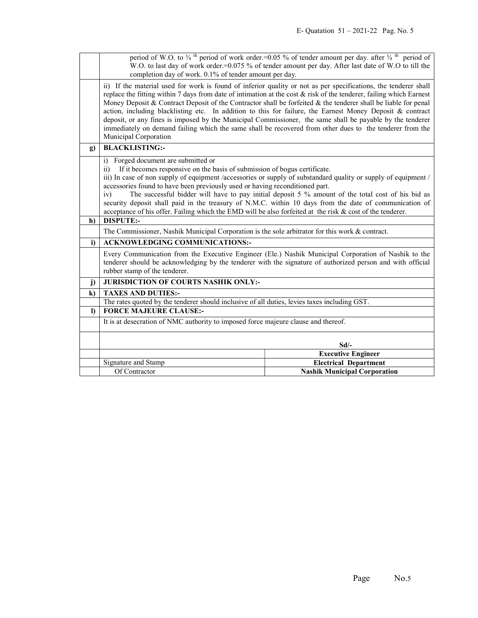|              | period of W.O. to $\frac{3}{4}$ <sup>th</sup> period of work order.=0.05 % of tender amount per day. after $\frac{3}{4}$ <sup>th</sup> period of<br>W.O. to last day of work order.=0.075 % of tender amount per day. After last date of W.O to till the<br>completion day of work. 0.1% of tender amount per day.                                                                                                                                                                                                                                                                                                                                                                                                         |                                                                     |  |  |  |
|--------------|----------------------------------------------------------------------------------------------------------------------------------------------------------------------------------------------------------------------------------------------------------------------------------------------------------------------------------------------------------------------------------------------------------------------------------------------------------------------------------------------------------------------------------------------------------------------------------------------------------------------------------------------------------------------------------------------------------------------------|---------------------------------------------------------------------|--|--|--|
|              | ii) If the material used for work is found of inferior quality or not as per specifications, the tenderer shall<br>replace the fitting within 7 days from date of intimation at the cost $\&$ risk of the tenderer, failing which Earnest<br>Money Deposit & Contract Deposit of the Contractor shall be forfeited & the tenderer shall be liable for penal<br>action, including blacklisting etc. In addition to this for failure, the Earnest Money Deposit & contract<br>deposit, or any fines is imposed by the Municipal Commissioner, the same shall be payable by the tenderer<br>immediately on demand failing which the same shall be recovered from other dues to the tenderer from the<br>Municipal Corporation |                                                                     |  |  |  |
| $\mathbf{g}$ | <b>BLACKLISTING:-</b>                                                                                                                                                                                                                                                                                                                                                                                                                                                                                                                                                                                                                                                                                                      |                                                                     |  |  |  |
|              | i) Forged document are submitted or<br>$\overline{11}$<br>If it becomes responsive on the basis of submission of bogus certificate.<br>iii) In case of non supply of equipment /accessories or supply of substandard quality or supply of equipment /<br>accessories found to have been previously used or having reconditioned part.<br>The successful bidder will have to pay initial deposit 5 % amount of the total cost of his bid as<br>iv)<br>security deposit shall paid in the treasury of N.M.C. within 10 days from the date of communication of<br>acceptance of his offer. Failing which the EMD will be also forfeited at the risk & cost of the tenderer.                                                   |                                                                     |  |  |  |
| h)           | <b>DISPUTE:-</b>                                                                                                                                                                                                                                                                                                                                                                                                                                                                                                                                                                                                                                                                                                           |                                                                     |  |  |  |
|              | The Commissioner, Nashik Municipal Corporation is the sole arbitrator for this work & contract.                                                                                                                                                                                                                                                                                                                                                                                                                                                                                                                                                                                                                            |                                                                     |  |  |  |
| i)           | <b>ACKNOWLEDGING COMMUNICATIONS:-</b>                                                                                                                                                                                                                                                                                                                                                                                                                                                                                                                                                                                                                                                                                      |                                                                     |  |  |  |
|              | Every Communication from the Executive Engineer (Ele.) Nashik Municipal Corporation of Nashik to the<br>tenderer should be acknowledging by the tenderer with the signature of authorized person and with official<br>rubber stamp of the tenderer.                                                                                                                                                                                                                                                                                                                                                                                                                                                                        |                                                                     |  |  |  |
| j)           | JURISDICTION OF COURTS NASHIK ONLY:-                                                                                                                                                                                                                                                                                                                                                                                                                                                                                                                                                                                                                                                                                       |                                                                     |  |  |  |
| $\bf k$      | <b>TAXES AND DUTIES:-</b>                                                                                                                                                                                                                                                                                                                                                                                                                                                                                                                                                                                                                                                                                                  |                                                                     |  |  |  |
|              | The rates quoted by the tenderer should inclusive of all duties, levies taxes including GST.                                                                                                                                                                                                                                                                                                                                                                                                                                                                                                                                                                                                                               |                                                                     |  |  |  |
| $\mathbf{D}$ | <b>FORCE MAJEURE CLAUSE:-</b>                                                                                                                                                                                                                                                                                                                                                                                                                                                                                                                                                                                                                                                                                              |                                                                     |  |  |  |
|              | It is at desecration of NMC authority to imposed force majeure clause and thereof.                                                                                                                                                                                                                                                                                                                                                                                                                                                                                                                                                                                                                                         |                                                                     |  |  |  |
|              |                                                                                                                                                                                                                                                                                                                                                                                                                                                                                                                                                                                                                                                                                                                            | Sd                                                                  |  |  |  |
|              |                                                                                                                                                                                                                                                                                                                                                                                                                                                                                                                                                                                                                                                                                                                            | <b>Executive Engineer</b>                                           |  |  |  |
|              |                                                                                                                                                                                                                                                                                                                                                                                                                                                                                                                                                                                                                                                                                                                            |                                                                     |  |  |  |
|              | Signature and Stamp                                                                                                                                                                                                                                                                                                                                                                                                                                                                                                                                                                                                                                                                                                        | <b>Electrical Department</b><br><b>Nashik Municipal Corporation</b> |  |  |  |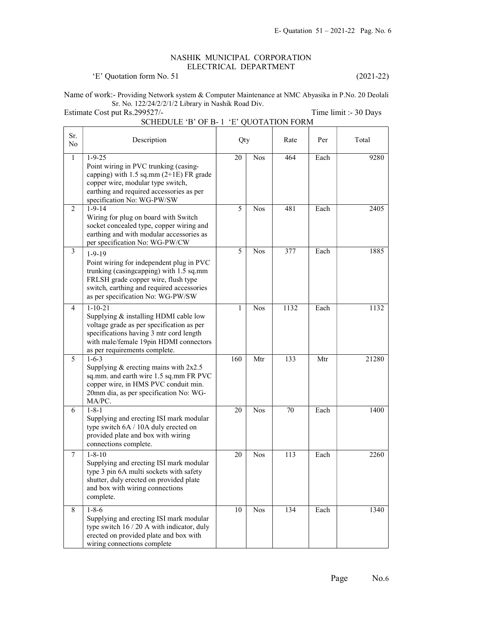## NASHIK MUNICIPAL CORPORATION ELECTRICAL DEPARTMENT

'E' Quotation form No. 51 (2021-22)

Name of work:- Providing Network system & Computer Maintenance at NMC Abyasika in P.No. 20 Deolali Sr. No. 122/24/2/2/1/2 Library in Nashik Road Div.

Estimate Cost put Rs.299527/-<br>
Time limit :- 30 Days

SCHEDULE 'B' OF B- 1 'E' QUOTATION FORM

| Sr.<br>N <sub>o</sub> | Description                                                                                                                                                                                                                  | Qty |            | Rate | Per  | Total |
|-----------------------|------------------------------------------------------------------------------------------------------------------------------------------------------------------------------------------------------------------------------|-----|------------|------|------|-------|
| $\mathbf{1}$          | $1 - 9 - 25$<br>Point wiring in PVC trunking (casing-<br>capping) with $1.5$ sq.mm ( $2+1E$ ) FR grade<br>copper wire, modular type switch,<br>earthing and required accessories as per<br>specification No: WG-PW/SW        | 20  | <b>Nos</b> | 464  | Each | 9280  |
| 2                     | $1 - 9 - 14$<br>Wiring for plug on board with Switch<br>socket concealed type, copper wiring and<br>earthing and with modular accessories as<br>per specification No: WG-PW/CW                                               | 5   | <b>Nos</b> | 481  | Each | 2405  |
| 3                     | $1 - 9 - 19$<br>Point wiring for independent plug in PVC<br>trunking (casingcapping) with 1.5 sq.mm<br>FRLSH grade copper wire, flush type<br>switch, earthing and required accessories<br>as per specification No: WG-PW/SW | 5   | <b>Nos</b> | 377  | Each | 1885  |
| 4                     | $1 - 10 - 21$<br>Supplying & installing HDMI cable low<br>voltage grade as per specification as per<br>specifications having 3 mtr cord length<br>with male/female 19pin HDMI connectors<br>as per requirements complete.    | 1   | <b>Nos</b> | 1132 | Each | 1132  |
| 5                     | $1 - 6 - 3$<br>Supplying $&$ erecting mains with $2x2.5$<br>sq.mm. and earth wire 1.5 sq.mm FR PVC<br>copper wire, in HMS PVC conduit min.<br>20mm dia, as per specification No: WG-<br>MA/PC.                               | 160 | Mtr        | 133  | Mtr  | 21280 |
| 6                     | $1 - 8 - 1$<br>Supplying and erecting ISI mark modular<br>type switch 6A / 10A duly erected on<br>provided plate and box with wiring<br>connections complete.                                                                | 20  | <b>Nos</b> | 70   | Each | 1400  |
| $\tau$                | $1 - 8 - 10$<br>Supplying and erecting ISI mark modular<br>type 3 pin 6A multi sockets with safety<br>shutter, duly erected on provided plate<br>and box with wiring connections<br>complete.                                | 20  | <b>Nos</b> | 113  | Each | 2260  |
| 8                     | $1 - 8 - 6$<br>Supplying and erecting ISI mark modular<br>type switch 16 / 20 A with indicator, duly<br>erected on provided plate and box with<br>wiring connections complete                                                | 10  | <b>Nos</b> | 134  | Each | 1340  |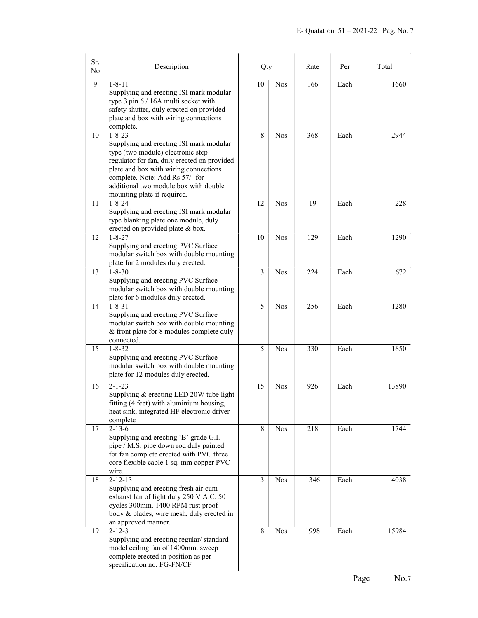| Sr.<br>No      | Description                                                                                                                                                                                                                                                                                     | Qty                     |            | Rate | Per  | Total |
|----------------|-------------------------------------------------------------------------------------------------------------------------------------------------------------------------------------------------------------------------------------------------------------------------------------------------|-------------------------|------------|------|------|-------|
| $\overline{9}$ | $1 - 8 - 11$<br>Supplying and erecting ISI mark modular<br>type 3 pin 6 / 16A multi socket with<br>safety shutter, duly erected on provided<br>plate and box with wiring connections<br>complete.                                                                                               | 10                      | <b>Nos</b> | 166  | Each | 1660  |
| 10             | $1 - 8 - 23$<br>Supplying and erecting ISI mark modular<br>type (two module) electronic step<br>regulator for fan, duly erected on provided<br>plate and box with wiring connections<br>complete. Note: Add Rs 57/- for<br>additional two module box with double<br>mounting plate if required. | 8                       | <b>Nos</b> | 368  | Each | 2944  |
| 11             | $1 - 8 - 24$<br>Supplying and erecting ISI mark modular<br>type blanking plate one module, duly<br>erected on provided plate & box.                                                                                                                                                             | 12                      | <b>Nos</b> | 19   | Each | 228   |
| 12             | $1 - 8 - 27$<br>Supplying and erecting PVC Surface<br>modular switch box with double mounting<br>plate for 2 modules duly erected.                                                                                                                                                              | 10                      | <b>Nos</b> | 129  | Each | 1290  |
| 13             | $1 - 8 - 30$<br>Supplying and erecting PVC Surface<br>modular switch box with double mounting<br>plate for 6 modules duly erected.                                                                                                                                                              | $\overline{\mathbf{3}}$ | <b>Nos</b> | 224  | Each | 672   |
| 14             | $1 - 8 - 31$<br>Supplying and erecting PVC Surface<br>modular switch box with double mounting<br>& front plate for 8 modules complete duly<br>connected.                                                                                                                                        | 5                       | <b>Nos</b> | 256  | Each | 1280  |
| 15             | $1 - 8 - 32$<br>Supplying and erecting PVC Surface<br>modular switch box with double mounting<br>plate for 12 modules duly erected.                                                                                                                                                             | 5                       | <b>Nos</b> | 330  | Each | 1650  |
| 16             | $2 - 1 - 23$<br>Supplying & erecting LED 20W tube light<br>fitting (4 feet) with aluminium housing,<br>heat sink, integrated HF electronic driver<br>complete                                                                                                                                   | 15                      | <b>Nos</b> | 926  | Each | 13890 |
| 17             | $2 - 13 - 6$<br>Supplying and erecting 'B' grade G.I.<br>pipe / M.S. pipe down rod duly painted<br>for fan complete erected with PVC three<br>core flexible cable 1 sq. mm copper PVC<br>wire.                                                                                                  | 8                       | <b>Nos</b> | 218  | Each | 1744  |
| 18             | $2 - 12 - 13$<br>Supplying and erecting fresh air cum<br>exhaust fan of light duty 250 V A.C. 50<br>cycles 300mm. 1400 RPM rust proof<br>body & blades, wire mesh, duly erected in<br>an approved manner.                                                                                       | $\overline{\mathbf{3}}$ | <b>Nos</b> | 1346 | Each | 4038  |
| 19             | $2 - 12 - 3$<br>Supplying and erecting regular/standard<br>model ceiling fan of 1400mm. sweep<br>complete erected in position as per<br>specification no. FG-FN/CF                                                                                                                              | 8                       | <b>Nos</b> | 1998 | Each | 15984 |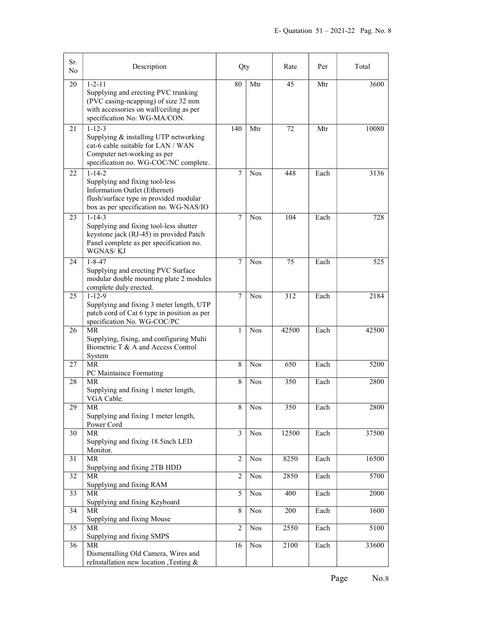| Sr.<br>No. | Description                                                                                                                                                           | Qty            |            | Rate       | Per  | Total |
|------------|-----------------------------------------------------------------------------------------------------------------------------------------------------------------------|----------------|------------|------------|------|-------|
| 20         | $1 - 2 - 11$<br>Supplying and erecting PVC trunking<br>(PVC casing-neapping) of size 32 mm<br>with accessories on wall/ceiling as per<br>specification No: WG-MA/CON. | 80             | Mtr        | 45         | Mtr  | 3600  |
| 21         | $1 - 12 - 3$<br>Supplying & installing UTP networking<br>cat-6 cable suitable for LAN / WAN<br>Computer net-working as per<br>specification no. WG-COC/NC complete.   | 140            | Mtr        | 72         | Mtr  | 10080 |
| 22         | $1 - 14 - 2$<br>Supplying and fixing tool-less<br>Information Outlet (Ethernet)<br>flush/surface type in provided modular<br>box as per specification no. WG-NAS/IO   | $\overline{7}$ | <b>Nos</b> | 448        | Each | 3136  |
| 23         | $1 - 14 - 3$<br>Supplying and fixing tool-less shutter<br>keystone jack (RJ-45) in provided Patch<br>Panel complete as per specification no.<br>WGNAS/KJ              | 7              | <b>Nos</b> | 104        | Each | 728   |
| 24         | $1 - 8 - 47$<br>Supplying and erecting PVC Surface<br>modular double mounting plate 2 modules<br>complete duly erected.                                               | $\overline{7}$ | <b>Nos</b> | 75         | Each | 525   |
| 25         | $1 - 12 - 9$<br>Supplying and fixing 3 meter length, UTP<br>patch cord of Cat 6 type in position as per<br>specification No. WG-COC/PC                                | 7              | <b>Nos</b> | 312        | Each | 2184  |
| 26         | MR.<br>Supplying, fixing, and configuring Multi<br>Biometric T & A and Access Control<br>System                                                                       | 1              | <b>Nos</b> | 42500      | Each | 42500 |
| 27         | MR<br>PC Maintaince Formating                                                                                                                                         | 8              | <b>Nos</b> | 650        | Each | 5200  |
| 28         | <b>MR</b><br>Supplying and fixing 1 meter length,<br>VGA Cable.                                                                                                       | 8              | <b>Nos</b> | 350        | Each | 2800  |
| 29         | MR<br>Supplying and fixing 1 meter length,<br>Power Cord                                                                                                              | 8              | <b>Nos</b> | 350        | Each | 2800  |
| 30         | MR<br>Supplying and fixing 18.5inch LED<br>Monitor.                                                                                                                   | 3              | <b>Nos</b> | 12500      | Each | 37500 |
| 31         | <b>MR</b><br>Supplying and fixing 2TB HDD                                                                                                                             | $\overline{2}$ | <b>Nos</b> | 8250       | Each | 16500 |
| 32         | <b>MR</b><br>Supplying and fixing RAM                                                                                                                                 | $\overline{2}$ | <b>Nos</b> | 2850       | Each | 5700  |
| 33         | MR<br>Supplying and fixing Keyboard                                                                                                                                   | 5              | <b>Nos</b> | 400        | Each | 2000  |
| 34         | MR<br>Supplying and fixing Mouse                                                                                                                                      | 8              | <b>Nos</b> | <b>200</b> | Each | 1600  |
| 35         | MR<br>Supplying and fixing SMPS                                                                                                                                       | 2              | <b>Nos</b> | 2550       | Each | 5100  |
| 36         | <b>MR</b><br>Dismentalling Old Camera, Wires and<br>reInstallation new location ,Testing &                                                                            | 16             | <b>Nos</b> | 2100       | Each | 33600 |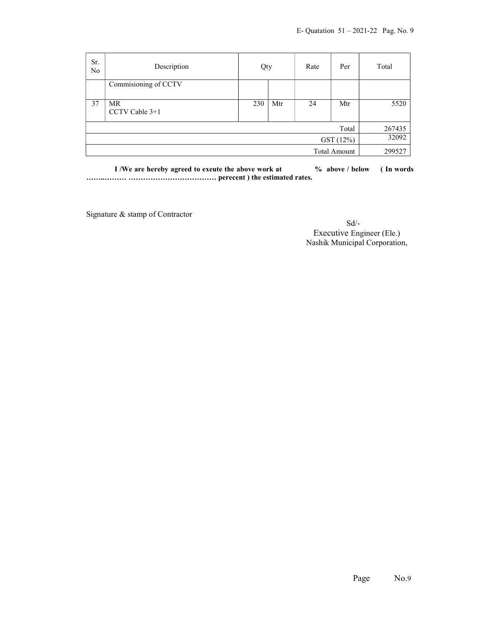| Sr.<br>N <sub>o</sub> | Description          | Qty |        | Rate | Per   | Total  |
|-----------------------|----------------------|-----|--------|------|-------|--------|
|                       | Commisioning of CCTV |     |        |      |       |        |
| 37                    | MR<br>CCTV Cable 3+1 | 230 | Mtr    | 24   | Mtr   | 5520   |
|                       |                      |     |        |      | Total | 267435 |
|                       | GST (12%)            |     |        |      | 32092 |        |
| <b>Total Amount</b>   |                      |     | 299527 |      |       |        |

I /We are hereby agreed to exeute the above work at  $\%$  above / below (In words ……..……… ……………………………… perecent ) the estimated rates.

Signature & stamp of Contractor

 Sd/- Executive Engineer (Ele.) Nashik Municipal Corporation,